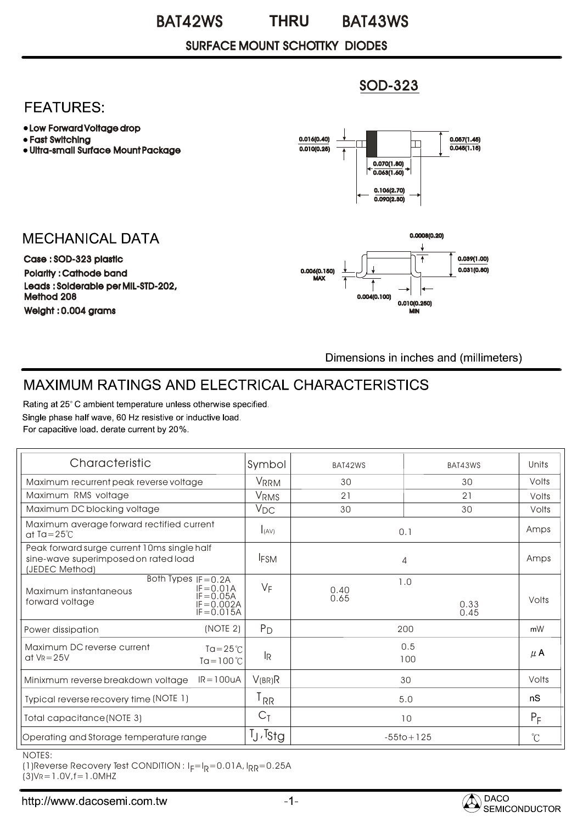#### BAT42WS BAT43WS **THRU**

## SURFACE MOUNT SCHOTTKY DIODES

# **FEATURES:**

- Low Forward Voltage drop
- Fast Switching
- Ultra-small Surface Mount Package

# **MECHANICAL DATA**

Case : SOD-323 plastic Polarity : Cathode band Weight : 0.004 grams Leads : Solderable per MIL-STD-202, Method 208



SOD-323

Dimensions in inches and (millimeters)

0.010(0.250)

MIN

# MAXIMUM RATINGS AND ELECTRICAL CHARACTERISTICS

Rating at 25°C ambient temperature unless otherwise specified. Single phase half wave, 60 Hz resistive or inductive load. For capacitive load. derate current by 20%.

| Characteristic                                                                                                                       | Symbol            | BAT42WS             | BAT43WS      | Units       |
|--------------------------------------------------------------------------------------------------------------------------------------|-------------------|---------------------|--------------|-------------|
| Maximum recurrent peak reverse voltage                                                                                               | <b>VRRM</b>       | 30                  | 30           | Volts       |
| Maximum RMS voltage                                                                                                                  | <b>VRMS</b>       | 21<br>21            |              | Volts       |
| Maximum DC blocking voltage                                                                                                          | $V_{DC}$          | 30<br>30            |              | Volts       |
| Maximum average forward rectified current<br>at Ta= $25^{\circ}$ C                                                                   | I(AV)             | 0.1                 |              | Amps        |
| Peak forward surge current 10ms single half<br>sine-wave superimposed on rated load<br>(JEDEC Method)                                | <b>IFSM</b>       | 4                   |              | Amps        |
| Both Types $IF = 0.2A$<br>$IF = 0.01A$<br>Maximum instantaneous<br>$IF = 0.05A$<br>forward voltage<br>$IF = 0.002A$<br>$IF = 0.015A$ | $V_F$             | 1.0<br>0.40<br>0.65 | 0.33<br>0.45 | Volts       |
| (NOTE 2)<br>Power dissipation                                                                                                        | $P_D$             | 200                 |              | mW          |
| Maximum DC reverse current<br>$Ta = 25^{\circ}C$<br>at $V_R = 25V$<br>$T\alpha = 100^{\circ}$ C                                      | lR.               | 0.5<br>100          |              | $\mu$ A     |
| $IR = 100uA$<br>Minixmum reverse breakdown voltage                                                                                   | V(BR)R            | 30                  |              | Volts       |
| Typical reverse recovery time (NOTE 1)                                                                                               | l RR              | 5.0                 |              | nS          |
| Total capacitance (NOTE 3)                                                                                                           | $C_{\bar{1}}$     | 10                  |              | $P_F$       |
| Operating and Storage temperature range                                                                                              | $I_J$ , $I_{Stg}$ | $-55$ to + 125      |              | $^{\circ}C$ |

NOTES:

 $(1)$ Reverse Recovery Test CONDITION : I $_F=$ I $_R$ =0.01A, I $_{\sf RR}$ =0.25A  $(3)V = 1.0V, f = 1.0M$ HZ